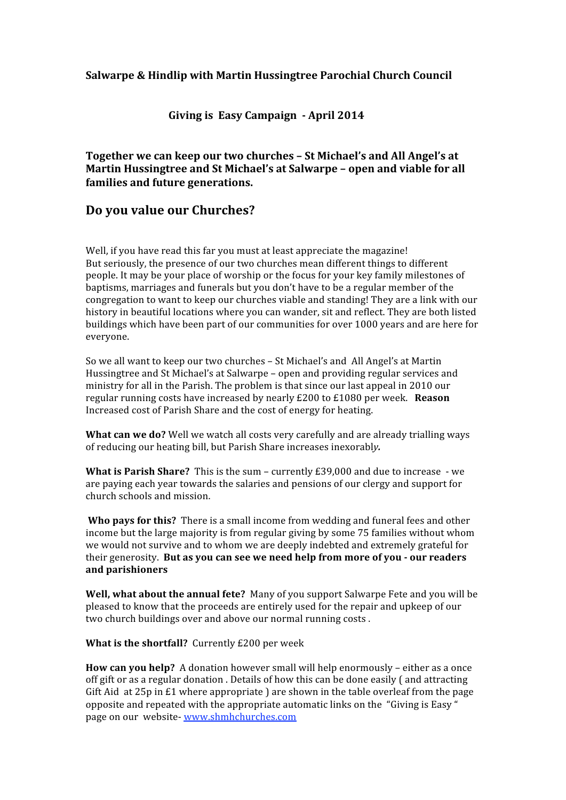### **Salwarpe & Hindlip with Martin Hussingtree Parochial Church Council**

#### **Giving is Easy Campaign April 2014**

**Together we can keep our two churches – St Michael's and All Angel's at Martin Hussingtree and St Michael's at Salwarpe – open and viable for all families and future generations.** 

## **Do you value our Churches?**

Well, if you have read this far you must at least appreciate the magazine! But seriously, the presence of our two churches mean different things to different people. It may be your place of worship or the focus for your key family milestones of baptisms, marriages and funerals but you don't have to be a regular member of the congregation to want to keep our churches viable and standing! They are a link with our history in beautiful locations where you can wander, sit and reflect. They are both listed buildings which have been part of our communities for over 1000 years and are here for everyone.

So we all want to keep our two churches – St Michael's and All Angel's at Martin Hussingtree and St Michael's at Salwarpe – open and providing regular services and ministry for all in the Parish. The problem is that since our last appeal in 2010 our regular running costs have increased by nearly £200 to £1080 per week.  **Reason** Increased cost of Parish Share and the cost of energy for heating.

**What can we do?** Well we watch all costs very carefully and are already trialling ways of reducing our heating bill, but Parish Share increases inexorabl*y.*

**What is Parish Share?**  This is the sum – currently £39,000 and due to increase ‐ we are paying each year towards the salaries and pensions of our clergy and support for church schools and mission.

 **Who pays for this?**  There is a small income from wedding and funeral fees and other income but the large majority is from regular giving by some 75 families without whom we would not survive and to whom we are deeply indebted and extremely grateful for their generosity. **But as you can see we need help from more of you our readers and parishioners**

**Well, what about the annual fete?** Many of you support Salwarpe Fete and you will be pleased to know that the proceeds are entirely used for the repair and upkeep of our two church buildings over and above our normal running costs .

**What is the shortfall?** Currently £200 per week

**How can you help?** A donation however small will help enormously – either as a once off gift or as a regular donation . Details of how this can be done easily ( and attracting Gift Aid at 25p in  $E1$  where appropriate ) are shown in the table overleaf from the page opposite and repeated with the appropriate automatic links on the "Giving is Easy " page on our website‐ www.shmhchurches.com